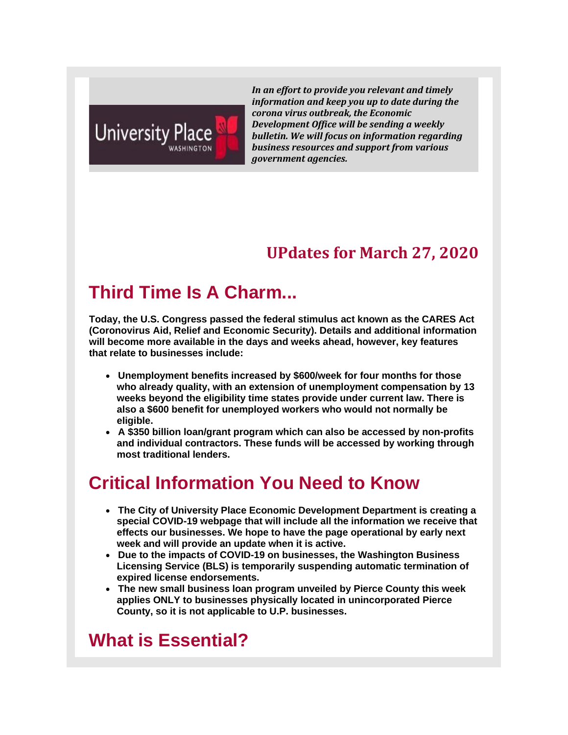

*In an effort to provide you relevant and timely information and keep you up to date during the corona virus outbreak, the Economic Development Office will be sending a weekly bulletin. We will focus on information regarding business resources and support from various government agencies.*

#### **UPdates for March 27, 2020**

# **Third Time Is A Charm...**

**Today, the U.S. Congress passed the federal stimulus act known as the CARES Act (Coronovirus Aid, Relief and Economic Security). Details and additional information will become more available in the days and weeks ahead, however, key features that relate to businesses include:**

- **Unemployment benefits increased by \$600/week for four months for those who already quality, with an extension of unemployment compensation by 13 weeks beyond the eligibility time states provide under current law. There is also a \$600 benefit for unemployed workers who would not normally be eligible.**
- **A \$350 billion loan/grant program which can also be accessed by non-profits and individual contractors. These funds will be accessed by working through most traditional lenders.**

## **Critical Information You Need to Know**

- **The City of University Place Economic Development Department is creating a special COVID-19 webpage that will include all the information we receive that effects our businesses. We hope to have the page operational by early next week and will provide an update when it is active.**
- **Due to the impacts of COVID-19 on businesses, the Washington Business Licensing Service (BLS) is temporarily suspending automatic termination of expired license endorsements.**
- **The new small business loan program unveiled by Pierce County this week applies ONLY to businesses physically located in unincorporated Pierce County, so it is not applicable to U.P. businesses.**

#### **What is Essential?**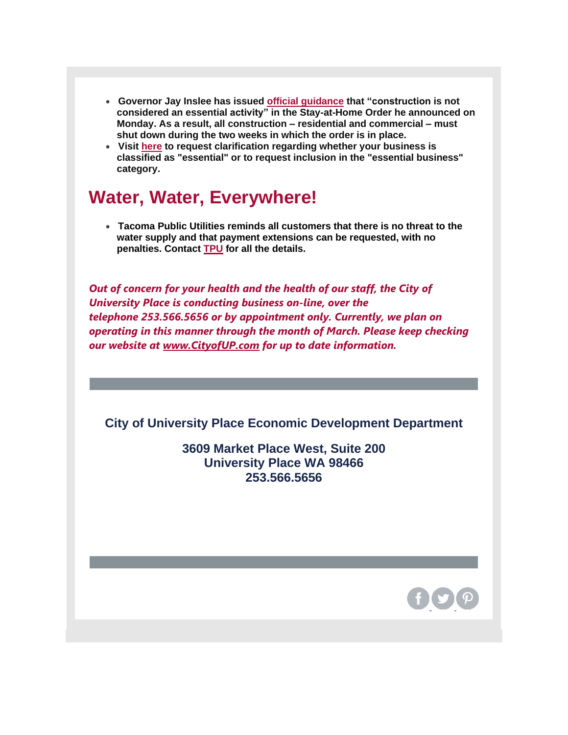- **Governor Jay Inslee has issued official [guidance](https://nam12.safelinks.protection.outlook.com/?url=http%3A%2F%2Fr20.rs6.net%2Ftn.jsp%3Ff%3D0010ezdGQGKlRVxBNIhNz5R3wDTSrgIsGwbgfF0Jjeb90_24yKDkZbooCxJNmrvb2xvTXArNelQpUTw4pAZK3h-fU3ktbkjv70p9zhz0aBb9e_f8HwE3KTOwrgFqtQxsMrUSTSY4LIyRx17J-cIjFqtSzJ7nltg8dKmz3nbtQpqaaIR4Xnds7EySyupIgcMJdYGzq_3rCnhmkQWch9SsudWMd4WwnDgjmewsk-j-4v4rTs%3D%26c%3DVLYh1Pnuh8u8WfLMCULh_TqKJJ9t5oNod1E074fQZ69EqFiRLLCKFw%3D%3D%26ch%3D3-OUvoji61kDom6Yl6orhwD5LXZ21gNlE47q6rFwOiKIrJGTzxVBFg%3D%3D&data=01%7C01%7Cmcraig%40cityofup.com%7C6ceff7cde22042cc21c008d7d293f618%7C964f2256ad7d4cd99f27e9cb8052aa15%7C0&sdata=QFXuJen2pLbtFb1PnyK1keBgKUymgqO18229eX%2BsLUg%3D&reserved=0) that "construction is not considered an essential activity" in the Stay-at-Home Order he announced on Monday. As a result, all construction – residential and commercial – must shut down during the two weeks in which the order is in place.**
- **Visit [here](https://nam12.safelinks.protection.outlook.com/?url=https%3A%2F%2Fapp.smartsheet.com%2Fb%2Fform%2Fd4c155fa930f4b848f95774d610c9708&data=01%7C01%7Cmcraig%40cityofup.com%7C6ceff7cde22042cc21c008d7d293f618%7C964f2256ad7d4cd99f27e9cb8052aa15%7C0&sdata=MGSVUrod8n9pwAb9RP29sYdsAqwLYDe2cR02%2BnNlSLY%3D&reserved=0) to request clarification regarding whether your business is classified as "essential" or to request inclusion in the "essential business" category.**

## **Water, Water, Everywhere!**

• **Tacoma Public Utilities reminds all customers that there is no threat to the water supply and that payment extensions can be requested, with no penalties. Contact [TPU](https://nam12.safelinks.protection.outlook.com/?url=https%3A%2F%2Fwww.mytpu.org%2F&data=01%7C01%7Cmcraig%40cityofup.com%7C6ceff7cde22042cc21c008d7d293f618%7C964f2256ad7d4cd99f27e9cb8052aa15%7C0&sdata=SfeTEIXbook9TfpRKhxFUk9G4QMOogSmzjA%2F7shZxLQ%3D&reserved=0) for all the details.**

*Out of concern for your health and the health of our staff, the City of University Place is conducting business on-line, over the telephone 253.566.5656 or by appointment only. Currently, we plan on operating in this manner through the month of March. Please keep checking our website at [www.CityofUP.com](https://nam12.safelinks.protection.outlook.com/?url=http%3A%2F%2Fwww.cityofup.com%2F&data=01%7C01%7Cmcraig%40cityofup.com%7C6ceff7cde22042cc21c008d7d293f618%7C964f2256ad7d4cd99f27e9cb8052aa15%7C0&sdata=9vo0QF3WIVgpu6zozZ%2BFqrkWyjFYHGP%2FWArApN8gMF4%3D&reserved=0) for up to date information.*

**City of University Place Economic Development Department**

**3609 Market Place West, Suite 200 University Place WA 98466 253.566.5656**